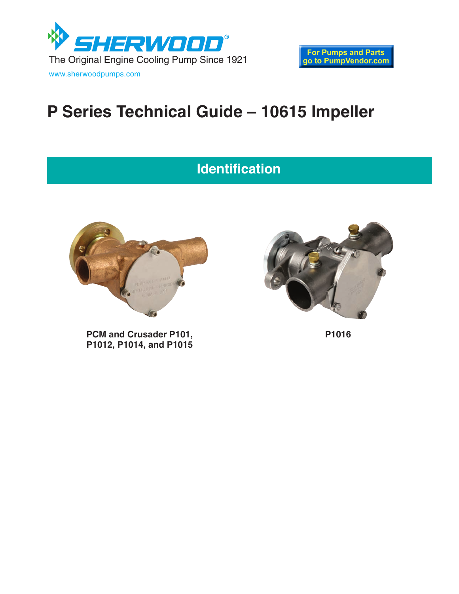

# **P Series Technical Guide – 10615 Impeller**

## **Identification**



**PCM and Crusader P101, P1012, P1014, and P1015**



**P1016**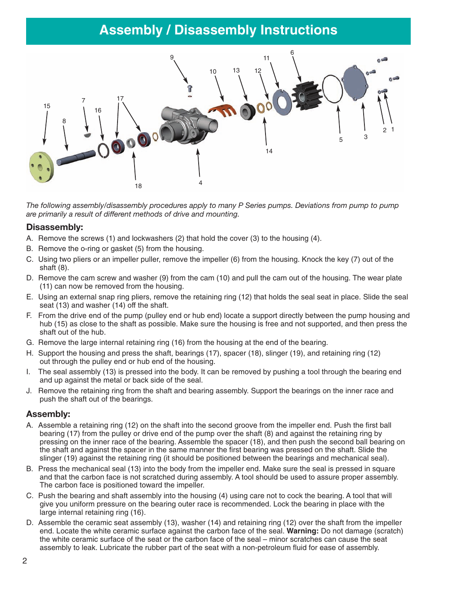### **Assembly / Disassembly Instructions**



*The following assembly/disassembly procedures apply to many P Series pumps. Deviations from pump to pump are primarily a result of different methods of drive and mounting.*

#### **Disassembly:**

- A. Remove the screws (1) and lockwashers (2) that hold the cover (3) to the housing (4).
- B. Remove the o-ring or gasket (5) from the housing.
- C. Using two pliers or an impeller puller, remove the impeller (6) from the housing. Knock the key (7) out of the shaft (8).
- D. Remove the cam screw and washer (9) from the cam (10) and pull the cam out of the housing. The wear plate (11) can now be removed from the housing.
- E. Using an external snap ring pliers, remove the retaining ring (12) that holds the seal seat in place. Slide the seal seat (13) and washer (14) off the shaft.
- F. From the drive end of the pump (pulley end or hub end) locate a support directly between the pump housing and hub (15) as close to the shaft as possible. Make sure the housing is free and not supported, and then press the shaft out of the hub.
- G. Remove the large internal retaining ring (16) from the housing at the end of the bearing.
- H. Support the housing and press the shaft, bearings (17), spacer (18), slinger (19), and retaining ring (12) out through the pulley end or hub end of the housing.
- I. The seal assembly (13) is pressed into the body. It can be removed by pushing a tool through the bearing end and up against the metal or back side of the seal.
- J. Remove the retaining ring from the shaft and bearing assembly. Support the bearings on the inner race and push the shaft out of the bearings.

#### **Assembly:**

- A. Assemble a retaining ring (12) on the shaft into the second groove from the impeller end. Push the first ball bearing (17) from the pulley or drive end of the pump over the shaft (8) and against the retaining ring by pressing on the inner race of the bearing. Assemble the spacer (18), and then push the second ball bearing on the shaft and against the spacer in the same manner the first bearing was pressed on the shaft. Slide the slinger (19) against the retaining ring (it should be positioned between the bearings and mechanical seal).
- B. Press the mechanical seal (13) into the body from the impeller end. Make sure the seal is pressed in square and that the carbon face is not scratched during assembly. A tool should be used to assure proper assembly. The carbon face is positioned toward the impeller.
- C. Push the bearing and shaft assembly into the housing (4) using care not to cock the bearing. A tool that will give you uniform pressure on the bearing outer race is recommended. Lock the bearing in place with the large internal retaining ring (16).
- D. Assemble the ceramic seat assembly (13), washer (14) and retaining ring (12) over the shaft from the impeller end. Locate the white ceramic surface against the carbon face of the seal. **Warning:** Do not damage (scratch) the white ceramic surface of the seat or the carbon face of the seal – minor scratches can cause the seat assembly to leak. Lubricate the rubber part of the seat with a non-petroleum fluid for ease of assembly.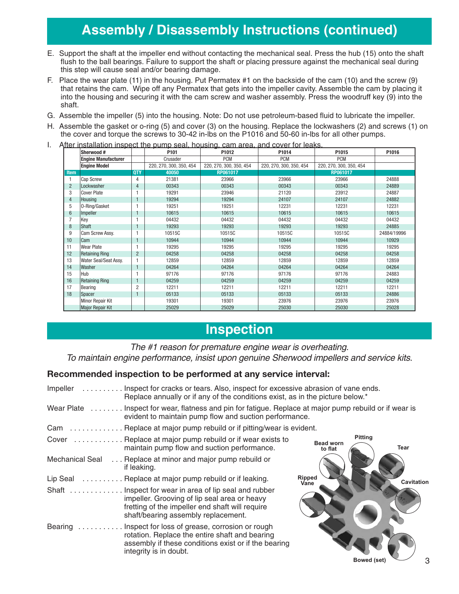### **Assembly / Disassembly Instructions (continued)**

- E. Support the shaft at the impeller end without contacting the mechanical seal. Press the hub (15) onto the shaft flush to the ball bearings. Failure to support the shaft or placing pressure against the mechanical seal during this step will cause seal and/or bearing damage.
- F. Place the wear plate (11) in the housing. Put Permatex #1 on the backside of the cam (10) and the screw (9) that retains the cam. Wipe off any Permatex that gets into the impeller cavity. Assemble the cam by placing it into the housing and securing it with the cam screw and washer assembly. Press the woodruff key (9) into the shaft.
- G. Assemble the impeller (5) into the housing. Note: Do not use petroleum-based fluid to lubricate the impeller.
- H. Assemble the gasket or o-ring (5) and cover (3) on the housing. Replace the lockwashers (2) and screws (1) on the cover and torque the screws to 30-42 in-lbs on the P1016 and 50-60 in-lbs for all other pumps.
- I. After installation inspect the pump seal, housing, cam area, and cover for leaks.

|                | Sherwood #                 |                | P101                    | P1012                   | P1014                   | P1015                   | P1016       |
|----------------|----------------------------|----------------|-------------------------|-------------------------|-------------------------|-------------------------|-------------|
|                | <b>Engine Manufacturer</b> |                | Crusader                | <b>PCM</b>              | <b>PCM</b>              | <b>PCM</b>              |             |
|                | <b>Engine Model</b>        |                | 220, 270, 300, 350, 454 | 220, 270, 300, 350, 454 | 220, 270, 300, 350, 454 | 220, 270, 300, 350, 454 |             |
| <b>Item</b>    |                            | <b>QTY</b>     | 40050                   | RP061017                |                         | RP061017                |             |
|                | Cap Screw                  | 4              | 21381                   | 23966                   | 23966                   | 23966                   | 24888       |
| $\overline{2}$ | Lockwasher                 | $\overline{4}$ | 00343                   | 00343                   | 00343                   | 00343                   | 24889       |
| 3              | <b>Cover Plate</b>         |                | 19291                   | 23946                   | 21120                   | 23912                   | 24887       |
| $\overline{4}$ | Housing                    |                | 19294                   | 19294                   | 24107                   | 24107                   | 24882       |
| 5              | O-Ring/Gasket              |                | 19251                   | 19251                   | 12231                   | 12231                   | 12231       |
| 6              | Impeller                   |                | 10615                   | 10615                   | 10615                   | 10615                   | 10615       |
| $\overline{7}$ | Key                        |                | 04432                   | 04432                   | 04432                   | 04432                   | 04432       |
| 8              | Shaft                      |                | 19293                   | 19293                   | 19293                   | 19293                   | 24885       |
| 9              | Cam Screw Assy.            |                | 10515C                  | 10515C                  | 10515C                  | 10515C                  | 24884/19996 |
| 10             | <b>Cam</b>                 |                | 10944                   | 10944                   | 10944                   | 10944                   | 10929       |
| 11             | Wear Plate                 |                | 19295                   | 19295                   | 19295                   | 19295                   | 19295       |
| 12             | Retaining Ring             | $\overline{2}$ | 04258                   | 04258                   | 04258                   | 04258                   | 04258       |
| 13             | Water Seal/Seat Assy.      |                | 12859                   | 12859                   | 12859                   | 12859                   | 12859       |
| 14             | Washer                     |                | 04264                   | 04264                   | 04264                   | 04264                   | 04264       |
| 15             | Hub                        |                | 97176                   | 97176                   | 97176                   | 97176                   | 24883       |
| 16             | Retaining Ring             |                | 04259                   | 04259                   | 04259                   | 04259                   | 04259       |
| 17             | Bearing                    | $\overline{2}$ | 12211                   | 12211                   | 12211                   | 12211                   | 12211       |
| 18             | Spacer                     |                | 05133                   | 05133                   | 05133                   | 05133                   | 24886       |
|                | Minor Repair Kit           |                | 19301                   | 19301                   | 23976                   | 23976                   | 23976       |
|                | Major Repair Kit           |                | 25029                   | 25029                   | 25030                   | 25030                   | 25028       |

### **Inspection**

#### The #1 reason for premature engine wear is overheating. To maintain engine performance, insist upon genuine Sherwood impellers and service kits.

#### **Recommended inspection to be performed at any service interval:**

| Impeller        | Inspect for cracks or tears. Also, inspect for excessive abrasion of vane ends.<br>Replace annually or if any of the conditions exist, as in the picture below.*                                 |                             |                               |
|-----------------|--------------------------------------------------------------------------------------------------------------------------------------------------------------------------------------------------|-----------------------------|-------------------------------|
|                 | Wear Plate Inspect for wear, flatness and pin for fatigue. Replace at major pump rebuild or if wear is<br>evident to maintain pump flow and suction performance.                                 |                             |                               |
|                 | Cam Replace at major pump rebuild or if pitting/wear is evident.                                                                                                                                 |                             |                               |
|                 | Cover  Replace at major pump rebuild or if wear exists to<br>maintain pump flow and suction performance.                                                                                         | <b>Bead worn</b><br>to flat | <b>Pitting</b><br><b>Tear</b> |
| Mechanical Seal | Replace at minor and major pump rebuild or<br>if leaking.                                                                                                                                        |                             |                               |
|                 | Lip Seal  Replace at major pump rebuild or if leaking.                                                                                                                                           | <b>Ripped</b><br>Vane       | Cavitation                    |
|                 | Shaft  Inspect for wear in area of lip seal and rubber<br>impeller. Grooving of lip seal area or heavy<br>fretting of the impeller end shaft will require<br>shaft/bearing assembly replacement. |                             |                               |
|                 | Bearing  Inspect for loss of grease, corrosion or rough<br>rotation. Replace the entire shaft and bearing<br>assembly if these conditions exist or if the bearing<br>integrity is in doubt.      |                             |                               |
|                 |                                                                                                                                                                                                  |                             | Bowed (set)                   |